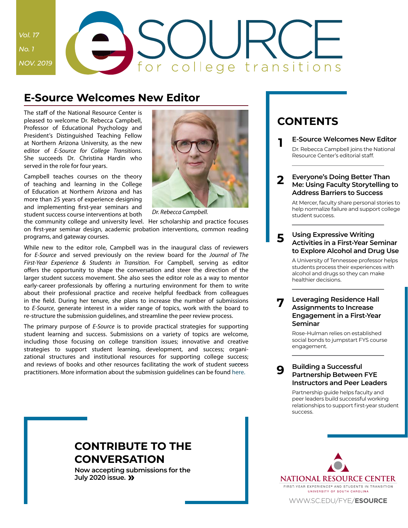# *Vol. 17 No. 1 NOV. 2019* for college transitions

# **E-Source Welcomes New Editor**

The staff of the National Resource Center is pleased to welcome Dr. Rebecca Campbell, Professor of Educational Psychology and President's Distinguished Teaching Fellow at Northern Arizona University, as the new editor of *E-Source for College Transitions*. She succeeds Dr. Christina Hardin who served in the role for four years.

Campbell teaches courses on the theory of teaching and learning in the College of Education at Northern Arizona and has more than 25 years of experience designing and implementing first-year seminars and student success course interventions at both



*Dr. Rebecca Campbell.*

the community college and university level. Her scholarship and practice focuses on first-year seminar design, academic probation interventions, common reading programs, and gateway courses.

While new to the editor role, Campbell was in the inaugural class of reviewers for *E-Source* and served previously on the review board for the *Journal of The First-Year Experience & Students in Transition*. For Campbell, serving as editor offers the opportunity to shape the conversation and steer the direction of the larger student success movement. She also sees the editor role as a way to mentor early-career professionals by offering a nurturing environment for them to write about their professional practice and receive helpful feedback from colleagues in the field. During her tenure, she plans to increase the number of submissions to *E-Source*, generate interest in a wider range of topics, work with the board to re-structure the submission guidelines, and streamline the peer review process.

The primary purpose of *E-Source* is to provide practical strategies for supporting student learning and success. Submissions on a variety of topics are welcome, including those focusing on college transition issues; innovative and creative strategies to support student learning, development, and success; organizational structures and institutional resources for supporting college success; and reviews of books and other resources facilitating the work of student success practitioners. More information about the submission guidelines can be found [here](https://sc.edu/about/offices_and_divisions/national_resource_center/publications/e-source/submissions/index.php).

# <span id="page-0-0"></span>**Contents**

**1 E-Source Welcomes New Editor**

Dr. Rebecca Campbell joins the National Resource Center's editorial staff.

#### **[2](#page-1-0) [Everyone's Doing Better Than](#page-1-0)  [Me: Using Faculty Storytelling to](#page-1-0)  [Address Barriers to Success](#page-1-0)**

[At Mercer, faculty share personal stories to](#page-1-0)  [help normalize failure and support college](#page-1-0)  [student success.](#page-1-0)

#### **[5](#page-4-0) [Using Expressive Writing](#page-4-0)  [Activities in a First-Year Seminar](#page-4-0)  [to Explore Alcohol and Drug Use](#page-4-0)**

[A University of Tennessee professor helps](#page-4-0)  [students process their experiences with](#page-4-0)  [alcohol and drugs so they can make](#page-4-0)  [healthier decisions.](#page-4-0)

#### **[7](#page-6-0) [Leveraging Residence Hall](#page-6-0)  [Assignments to Increase](#page-6-0)  [Engagement in a First-Year](#page-6-0)  [Seminar](#page-6-0)**

[Rose-Hulman relies on established](#page-6-0)  [social bonds to jumpstart FYS course](#page-6-0)  [engagement.](#page-6-0)

#### **[Building a Successful](#page-8-0)  [Partnership Between FYE](#page-8-0)  [Instructors and Peer Leaders](#page-8-0)**

**[9](#page-8-0)**

[Partnership guide helps faculty and](#page-8-0)  [peer leaders build successful working](#page-8-0)  [relationships to support first-year student](#page-8-0)  [success.](#page-8-0)

# **[Contribute to the](#page-10-0)  [Conversation](#page-10-0)**

**Now accepting submissions for the July 2020 issue. [»](#page-10-0)**

NATIONAL RESOURCE CENTER FIRST-YEAR EXPERIENCE® AND STUDENTS IN TRANSITION UNIVERSITY OF SOUTH CAROLINA

[www.sc.edu/fye/](https://sc.edu/about/offices_and_divisions/national_resource_center/publications/e-source/index.php)**esource**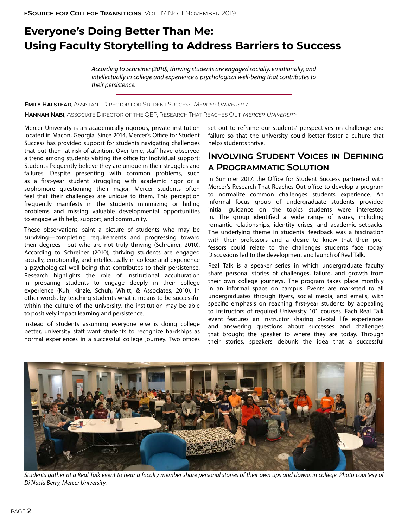# <span id="page-1-0"></span>**Everyone's Doing Better Than Me: Using Faculty Storytelling to Address Barriers to Success**

*According to Schreiner (2010), thriving students are engaged socially, emotionally, and intellectually in college and experience a psychological well-being that contributes to their persistence.* 

**Emily Halstead**, Assistant Director for Student Success, *Mercer University*

**Hannah Nabi**, Associate Director of the QEP, Research That Reaches Out, *Mercer University*

Mercer University is an academically rigorous, private institution located in Macon, Georgia. Since 2014, Mercer's Office for Student Success has provided support for students navigating challenges that put them at risk of attrition. Over time, staff have observed a trend among students visiting the office for individual support: Students frequently believe they are unique in their struggles and failures. Despite presenting with common problems, such as a first-year student struggling with academic rigor or a sophomore questioning their major, Mercer students often feel that their challenges are unique to them. This perception frequently manifests in the students minimizing or hiding problems and missing valuable developmental opportunities to engage with help, support, and community.

These observations paint a picture of students who may be surviving—completing requirements and progressing toward their degrees—but who are not truly thriving (Schreiner, 2010). According to Schreiner (2010), thriving students are engaged socially, emotionally, and intellectually in college and experience a psychological well-being that contributes to their persistence. Research highlights the role of institutional acculturation in preparing students to engage deeply in their college experience (Kuh, Kinzie, Schuh, Whitt, & Associates, 2010). In other words, by teaching students what it means to be successful within the culture of the university, the institution may be able to positively impact learning and persistence.

Instead of students assuming everyone else is doing college better, university staff want students to recognize hardships as normal experiences in a successful college journey. Two offices

set out to reframe our students' perspectives on challenge and failure so that the university could better foster a culture that helps students thrive.

### **Involving Student Voices in Defining a Programmatic Solution**

In Summer 2017, the Office for Student Success partnered with Mercer's Research That Reaches Out office to develop a program to normalize common challenges students experience. An informal focus group of undergraduate students provided initial guidance on the topics students were interested in. The group identified a wide range of issues, including romantic relationships, identity crises, and academic setbacks. The underlying theme in students' feedback was a fascination with their professors and a desire to know that their professors could relate to the challenges students face today. Discussions led to the development and launch of Real Talk.

Real Talk is a speaker series in which undergraduate faculty share personal stories of challenges, failure, and growth from their own college journeys. The program takes place monthly in an informal space on campus. Events are marketed to all undergraduates through flyers, social media, and emails, with specific emphasis on reaching first-year students by appealing to instructors of required University 101 courses. Each Real Talk event features an instructor sharing pivotal life experiences and answering questions about successes and challenges that brought the speaker to where they are today. Through their stories, speakers debunk the idea that a successful



*Students gather at a Real Talk event to hear a faculty member share personal stories of their own ups and downs in college. Photo courtesy of Di'Nasia Berry, Mercer University.*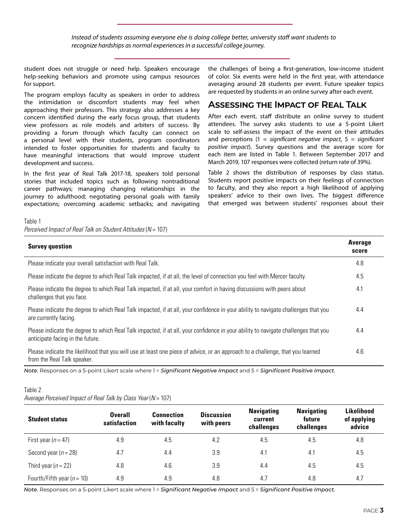*Instead of students assuming everyone else is doing college better, university staff want students to recognize hardships as normal experiences in a successful college journey.*

student does not struggle or need help. Speakers encourage help-seeking behaviors and promote using campus resources for support.

The program employs faculty as speakers in order to address the intimidation or discomfort students may feel when approaching their professors. This strategy also addresses a key concern identified during the early focus group, that students view professors as role models and arbiters of success. By providing a forum through which faculty can connect on a personal level with their students, program coordinators intended to foster opportunities for students and faculty to have meaningful interactions that would improve student development and success.

In the first year of Real Talk 2017-18, speakers told personal stories that included topics such as following nontraditional career pathways; managing changing relationships in the journey to adulthood; negotiating personal goals with family expectations; overcoming academic setbacks; and navigating the challenges of being a first-generation, low-income student of color. Six events were held in the first year, with attendance averaging around 28 students per event. Future speaker topics are requested by students in an online survey after each event.

### **Assessing the Impact of Real Talk**

After each event, staff distribute an online survey to student attendees. The survey asks students to use a 5-point Likert scale to self-assess the impact of the event on their attitudes and perceptions (1 = *significant negative impact*, 5 = *significant positive impact*). Survey questions and the average score for each item are listed in Table 1. Between September 2017 and March 2019, 107 responses were collected (return rate of 39%).

Table 2 shows the distribution of responses by class status. Students report positive impacts on their feelings of connection to faculty, and they also report a high likelihood of applying speakers' advice to their own lives. The biggest difference that emerged was between students' responses about their

#### Table 1

*Perceived Impact of Real Talk on Student Attitudes (N = 107)* 

| <b>Survey question</b>                                                                                                                                                 | <b>Average</b><br>score |
|------------------------------------------------------------------------------------------------------------------------------------------------------------------------|-------------------------|
| Please indicate your overall satisfaction with Real Talk.                                                                                                              | 4.8                     |
| Please indicate the degree to which Real Talk impacted, if at all, the level of connection you feel with Mercer faculty.                                               | 4.5                     |
| Please indicate the degree to which Real Talk impacted, if at all, your comfort in having discussions with peers about<br>challenges that you face.                    | 4.1                     |
| Please indicate the degree to which Real Talk impacted, if at all, your confidence in your ability to navigate challenges that you<br>are currently facing.            | 4.4                     |
| Please indicate the degree to which Real Talk impacted, if at all, your confidence in your ability to navigate challenges that you<br>anticipate facing in the future. | 4.4                     |
| Please indicate the likelihood that you will use at least one piece of advice, or an approach to a challenge, that you learned<br>from the Real Talk speaker.          | 4.6                     |

*Note.* Responses on a 5-point Likert scale where 1 = *Significant Negative Impact* and 5 = *Significant Positive Impact.*

#### Table 2

*Average Perceived Impact of Real Talk by Class Year (N = 107)* 

| <b>Student status</b>          | <b>Overall</b><br>satisfaction | <b>Connection</b><br>with faculty | <b>Discussion</b><br>with peers | <b>Navigating</b><br>current<br>challenges | <b>Navigating</b><br>future<br>challenges | Likelihood<br>of applying<br>advice |
|--------------------------------|--------------------------------|-----------------------------------|---------------------------------|--------------------------------------------|-------------------------------------------|-------------------------------------|
| First year ( $n = 47$ )        | 4.9                            | 4.5                               | 4.2                             | 4.5                                        | 4.5                                       | 4.8                                 |
| Second year ( $n = 28$ )       | 4.7                            | 4.4                               | 3.9                             | 4.1                                        | 4.1                                       | 4.5                                 |
| Third year $(n = 22)$          | 4.8                            | 4.6                               | 3.9                             | 4.4                                        | 4.5                                       | 4.5                                 |
| Fourth/Fifth year ( $n = 10$ ) | 4.9                            | 4.9                               | 4.8                             | 4.7                                        | 4.8                                       | 4.7                                 |

*Note.* Responses on a 5-point Likert scale where 1 = *Significant Negative Impact* and 5 = *Significant Positive Impact.*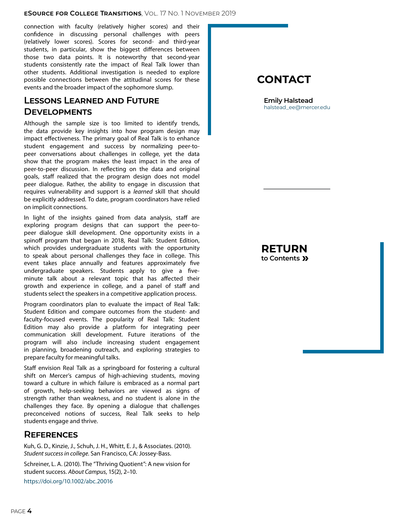#### **eSource for College Transitions**, Vol. 17 No. 1 November 2019

connection with faculty (relatively higher scores) and their confidence in discussing personal challenges with peers (relatively lower scores). Scores for second- and third-year students, in particular, show the biggest differences between those two data points. It is noteworthy that second-year students consistently rate the impact of Real Talk lower than other students. Additional investigation is needed to explore possible connections between the attitudinal scores for these events and the broader impact of the sophomore slump.

### **Lessons Learned and Future Developments**

Although the sample size is too limited to identify trends, the data provide key insights into how program design may impact effectiveness. The primary goal of Real Talk is to enhance student engagement and success by normalizing peer-topeer conversations about challenges in college, yet the data show that the program makes the least impact in the area of peer-to-peer discussion. In reflecting on the data and original goals, staff realized that the program design does not model peer dialogue. Rather, the ability to engage in discussion that requires vulnerability and support is a *learned* skill that should be explicitly addressed. To date, program coordinators have relied on implicit connections.

In light of the insights gained from data analysis, staff are exploring program designs that can support the peer-topeer dialogue skill development. One opportunity exists in a spinoff program that began in 2018, Real Talk: Student Edition, which provides undergraduate students with the opportunity to speak about personal challenges they face in college. This event takes place annually and features approximately five undergraduate speakers. Students apply to give a fiveminute talk about a relevant topic that has affected their growth and experience in college, and a panel of staff and students select the speakers in a competitive application process.

Program coordinators plan to evaluate the impact of Real Talk: Student Edition and compare outcomes from the student- and faculty-focused events. The popularity of Real Talk: Student Edition may also provide a platform for integrating peer communication skill development. Future iterations of the program will also include increasing student engagement in planning, broadening outreach, and exploring strategies to prepare faculty for meaningful talks.

Staff envision Real Talk as a springboard for fostering a cultural shift on Mercer's campus of high-achieving students, moving toward a culture in which failure is embraced as a normal part of growth, help-seeking behaviors are viewed as signs of strength rather than weakness, and no student is alone in the challenges they face. By opening a dialogue that challenges preconceived notions of success, Real Talk seeks to help students engage and thrive.

### **References**

Kuh, G. D., Kinzie, J., Schuh, J. H., Whitt, E. J., & Associates. (2010). *Student success in college*. San Francisco, CA: Jossey-Bass.

Schreiner, L. A. (2010). The "Thriving Quotient": A new vision for student success. *About Campus*, 15(2), 2–10. [https://doi.org/10.1002/abc.20016](https://journals.sagepub.com/doi/full/10.1002/abc.20016)

# **Contact**

**Emily Halstead** [halstead\\_ee@mercer.edu](mailto:halstead_ee%40mercer.edu?subject=E-Source%2017.1%20Article)

**[Return](#page-0-0) to Contents »**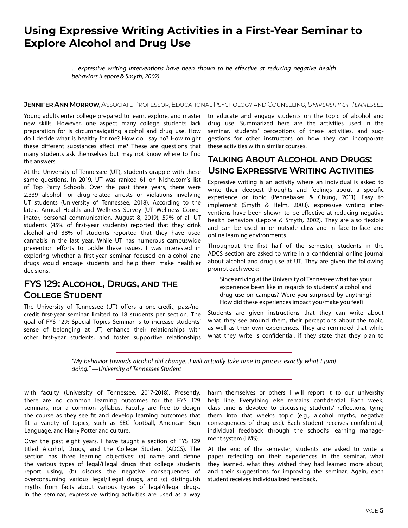# <span id="page-4-0"></span>**Using Expressive Writing Activities in a First-Year Seminar to Explore Alcohol and Drug Use**

*…expressive writing interventions have been shown to be effective at reducing negative health behaviors (Lepore & Smyth, 2002).*

#### **Jennifer Ann Morrow**, Associate Professor, Educational Psychology and Counseling, *University of Tennessee*

Young adults enter college prepared to learn, explore, and master new skills. However, one aspect many college students lack preparation for is circumnavigating alcohol and drug use. How do I decide what is healthy for me? How do I say no? How might these different substances affect me? These are questions that many students ask themselves but may not know where to find the answers.

At the University of Tennessee (UT), students grapple with these same questions. In 2019, UT was ranked 61 on Niche.com's list of Top Party Schools. Over the past three years, there were 2,339 alcohol- or drug-related arrests or violations involving UT students (University of Tennessee, 2018). According to the latest Annual Health and Wellness Survey (UT Wellness Coordinator, personal communication, August 8, 2019), 59% of all UT students (45% of first-year students) reported that they drink alcohol and 38% of students reported that they have used cannabis in the last year. While UT has numerous campuswide prevention efforts to tackle these issues, I was interested in exploring whether a first-year seminar focused on alcohol and drugs would engage students and help them make healthier decisions.

### **FYS 129: Alcohol, Drugs, and the College Student**

The University of Tennessee (UT) offers a one-credit, pass/nocredit first-year seminar limited to 18 students per section. The goal of FYS 129: Special Topics Seminar is to increase students' sense of belonging at UT, enhance their relationships with other first-year students, and foster supportive relationships to educate and engage students on the topic of alcohol and drug use. Summarized here are the activities used in the seminar, students' perceptions of these activities, and suggestions for other instructors on how they can incorporate these activities within similar courses.

### **Talking About Alcohol and Drugs: Using Expressive Writing Activities**

Expressive writing is an activity where an individual is asked to write their deepest thoughts and feelings about a specific experience or topic (Pennebaker & Chung, 2011). Easy to implement (Smyth & Helm, 2003), expressive writing interventions have been shown to be effective at reducing negative health behaviors (Lepore & Smyth, 2002). They are also flexible and can be used in or outside class and in face-to-face and online learning environments.

Throughout the first half of the semester, students in the ADCS section are asked to write in a confidential online journal about alcohol and drug use at UT. They are given the following prompt each week:

Since arriving at the University of Tennessee what has your experience been like in regards to students' alcohol and drug use on campus? Were you surprised by anything? How did these experiences impact you/make you feel?

Students are given instructions that they can write about what they see around them, their perceptions about the topic, as well as their own experiences. They are reminded that while what they write is confidential, if they state that they plan to

*"My behavior towards alcohol did change...I will actually take time to process exactly what I [am] doing." —University of Tennessee Student*

with faculty (University of Tennessee, 2017-2018). Presently, there are no common learning outcomes for the FYS 129 seminars, nor a common syllabus. Faculty are free to design the course as they see fit and develop learning outcomes that fit a variety of topics, such as SEC football, American Sign Language, and Harry Potter and culture.

Over the past eight years, I have taught a section of FYS 129 titled Alcohol, Drugs, and the College Student (ADCS). The section has three learning objectives: (a) name and define the various types of legal/illegal drugs that college students report using, (b) discuss the negative consequences of overconsuming various legal/illegal drugs, and (c) distinguish myths from facts about various types of legal/illegal drugs. In the seminar, expressive writing activities are used as a way

harm themselves or others I will report it to our university help line. Everything else remains confidential. Each week, class time is devoted to discussing students' reflections, tying them into that week's topic (e.g., alcohol myths, negative consequences of drug use). Each student receives confidential, individual feedback through the school's learning management system (LMS).

At the end of the semester, students are asked to write a paper reflecting on their experiences in the seminar, what they learned, what they wished they had learned more about, and their suggestions for improving the seminar. Again, each student receives individualized feedback.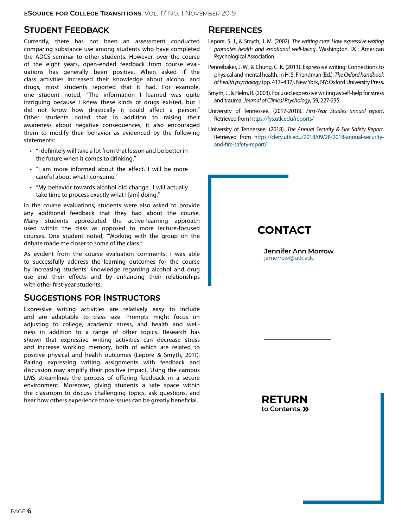### **Student Feedback**

Currently, there has not been an assessment conducted comparing substance use among students who have completed the ADCS seminar to other students. However, over the course of the eight years, open-ended feedback from course evaluations has generally been positive. When asked if the class activities increased their knowledge about alcohol and drugs, most students reported that it had. For example, one student noted, "The information I learned was quite intriguing because I knew these kinds of drugs existed, but I did not know how drastically it could affect a person." Other students noted that in addition to raising their awareness about negative consequences, it also encouraged them to modify their behavior as evidenced by the following statements:

- • "I definitely will take a lot from that lesson and be better in the future when it comes to drinking."
- "I am more informed about the effect. I will be more careful about what I consume."
- • "My behavior towards alcohol did change...I will actually take time to process exactly what I [am] doing."

In the course evaluations, students were also asked to provide any additional feedback that they had about the course. Many students appreciated the active-learning approach used within the class as opposed to more lecture-focused courses. One student noted, "Working with the group on the debate made me closer to some of the class."

As evident from the course evaluation comments, I was able to successfully address the learning outcomes for the course by increasing students' knowledge regarding alcohol and drug use and their effects and by enhancing their relationships with other first-year students.

#### **Suggestions for Instructors**

Expressive writing activities are relatively easy to include and are adaptable to class size. Prompts might focus on adjusting to college, academic stress, and health and wellness in addition to a range of other topics. Research has shown that expressive writing activities can decrease stress and increase working memory, both of which are related to positive physical and health outcomes (Lepore & Smyth, 2011). Pairing expressing writing assignments with feedback and discussion may amplify their positive impact. Using the campus LMS streamlines the process of offering feedback in a secure environment. Moreover, giving students a safe space within the classroom to discuss challenging topics, ask questions, and hear how others experience those issues can be greatly beneficial.

#### **References**

- Lepore, S. J., & Smyth, J. M. (2002). *The writing cure: How expressive writing promotes health and emotional well-being*. Washington DC: American Psychological Association.
- Pennebaker, J. W., & Chung, C. K. (2011). Expressive writing: Connections to physical and mental health. In H. S. Friendman (Ed.), *The Oxford handbook of health psychology* (pp. 417–437). New York, NY: Oxford University Press.
- Smyth, J., & Helm, R. (2003). Focused expressive writing as self-help for stress and trauma. *Journal of Clinical Psychology*, 59, 227-235.
- University of Tennessee. (2017-2018). *First-Year Studies annual report*. Retrieved from <https://fys.utk.edu/reports/>
- University of Tennessee. (2018). *The Annual Security & Fire Safety Report.*  Retrieved from [https://clery.utk.edu/2018/09/28/2018-annual-security](https://clery.utk.edu/2018/09/28/2018-annual-security-and-fire-safety-report/)[and-fire-safety-report/](https://clery.utk.edu/2018/09/28/2018-annual-security-and-fire-safety-report/)

# **Contact**

**Jennifer Ann Morrow** [jamorrow@utk.edu](mailto:jamorrow%40utk.edu?subject=E-Source%2017.1%20Article)

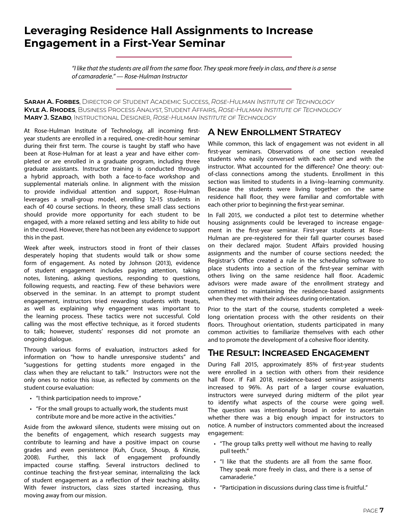# <span id="page-6-0"></span>**Leveraging Residence Hall Assignments to Increase Engagement in a First-Year Seminar**

*"I like that the students are all from the same floor. They speak more freely in class, and there is a sense of camaraderie." — Rose-Hulman Instructor*

**Sarah A. Forbes**, Director of Student Academic Success, *Rose-Hulman Institute of Technology* **Kyle A. Rhodes**, Business Process Analyst, Student Affairs, *Rose-Hulman Institute of Technology* **Mary J. Szabo**, Instructional Designer, *Rose-Hulman Institute of Technology*

At Rose-Hulman Institute of Technology, all incoming firstyear students are enrolled in a required, one-credit-hour seminar during their first term. The course is taught by staff who have been at Rose-Hulman for at least a year and have either completed or are enrolled in a graduate program, including three graduate assistants. Instructor training is conducted through a hybrid approach, with both a face-to-face workshop and supplemental materials online. In alignment with the mission to provide individual attention and support, Rose-Hulman leverages a small-group model, enrolling 12-15 students in each of 40 course sections. In theory, these small class sections should provide more opportunity for each student to be engaged, with a more relaxed setting and less ability to hide out in the crowd. However, there has not been any evidence to support this in the past.

Week after week, instructors stood in front of their classes desperately hoping that students would talk or show some form of engagement. As noted by Johnson (2013), evidence of student engagement includes paying attention, taking notes, listening, asking questions, responding to questions, following requests, and reacting. Few of these behaviors were observed in the seminar. In an attempt to prompt student engagement, instructors tried rewarding students with treats, as well as explaining why engagement was important to the learning process. These tactics were not successful. Cold calling was the most effective technique, as it forced students to talk; however, students' responses did not promote an ongoing dialogue.

Through various forms of evaluation, instructors asked for information on "how to handle unresponsive students" and "suggestions for getting students more engaged in the class when they are reluctant to talk." Instructors were not the only ones to notice this issue, as reflected by comments on the student course evaluation:

- "I think participation needs to improve."
- • "For the small groups to actually work, the students must contribute more and be more active in the activities."

Aside from the awkward silence, students were missing out on the benefits of engagement, which research suggests may contribute to learning and have a positive impact on course grades and even persistence (Kuh, Cruce, Shoup, & Kinzie, 2008). Further, this lack of engagement profoundly impacted course staffing. Several instructors declined to continue teaching the first-year seminar, internalizing the lack of student engagement as a reflection of their teaching ability. With fewer instructors, class sizes started increasing, thus moving away from our mission.

### **A New Enrollment Strategy**

While common, this lack of engagement was not evident in all first-year seminars. Observations of one section revealed students who easily conversed with each other and with the instructor. What accounted for the difference? One theory: outof-class connections among the students. Enrollment in this section was limited to students in a living–learning community. Because the students were living together on the same residence hall floor, they were familiar and comfortable with each other prior to beginning the first-year seminar.

In Fall 2015, we conducted a pilot test to determine whether housing assignments could be leveraged to increase engagement in the first-year seminar. First-year students at Rose-Hulman are pre-registered for their fall quarter courses based on their declared major. Student Affairs provided housing assignments and the number of course sections needed; the Registrar's Office created a rule in the scheduling software to place students into a section of the first-year seminar with others living on the same residence hall floor. Academic advisors were made aware of the enrollment strategy and committed to maintaining the residence-based assignments when they met with their advisees during orientation.

Prior to the start of the course, students completed a weeklong orientation process with the other residents on their floors. Throughout orientation, students participated in many common activities to familiarize themselves with each other and to promote the development of a cohesive floor identity.

### **The Result: Increased Engagement**

During Fall 2015, approximately 85% of first-year students were enrolled in a section with others from their residence hall floor. If Fall 2018, residence-based seminar assignments increased to 96%. As part of a larger course evaluation, instructors were surveyed during midterm of the pilot year to identify what aspects of the course were going well. The question was intentionally broad in order to ascertain whether there was a big enough impact for instructors to notice. A number of instructors commented about the increased engagement:

- • "The group talks pretty well without me having to really pull teeth."
- "I like that the students are all from the same floor. They speak more freely in class, and there is a sense of camaraderie."
- • "Participation in discussions during class time is fruitful."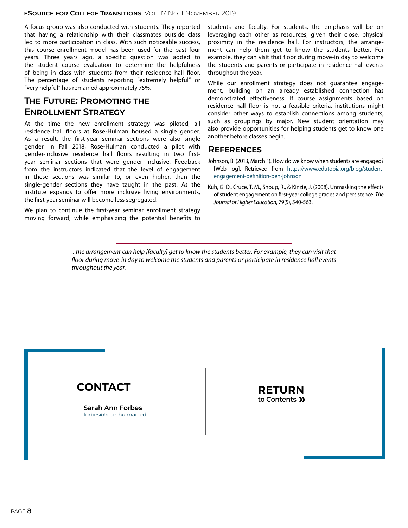#### **eSource for College Transitions**, Vol. 17 No. 1 November 2019

A focus group was also conducted with students. They reported that having a relationship with their classmates outside class led to more participation in class. With such noticeable success, this course enrollment model has been used for the past four years. Three years ago, a specific question was added to the student course evaluation to determine the helpfulness of being in class with students from their residence hall floor. The percentage of students reporting "extremely helpful" or "very helpful" has remained approximately 75%.

### **The Future: Promoting the Enrollment Strategy**

At the time the new enrollment strategy was piloted, all residence hall floors at Rose-Hulman housed a single gender. As a result, the first-year seminar sections were also single gender. In Fall 2018, Rose-Hulman conducted a pilot with gender-inclusive residence hall floors resulting in two firstyear seminar sections that were gender inclusive. Feedback from the instructors indicated that the level of engagement in these sections was similar to, or even higher, than the single-gender sections they have taught in the past. As the institute expands to offer more inclusive living environments, the first-year seminar will become less segregated.

We plan to continue the first-year seminar enrollment strategy moving forward, while emphasizing the potential benefits to students and faculty. For students, the emphasis will be on leveraging each other as resources, given their close, physical proximity in the residence hall. For instructors, the arrangement can help them get to know the students better. For example, they can visit that floor during move-in day to welcome the students and parents or participate in residence hall events throughout the year.

While our enrollment strategy does not guarantee engagement, building on an already established connection has demonstrated effectiveness. If course assignments based on residence hall floor is not a feasible criteria, institutions might consider other ways to establish connections among students, such as groupings by major. New student orientation may also provide opportunities for helping students get to know one another before classes begin.

#### **References**

- Johnson, B. (2013, March 1). How do we know when students are engaged? [Web log]. Retrieved from [https://www.edutopia.org/blog/student](https://www.edutopia.org/blog/student-engagement-definition-ben-johnson)[engagement-definition-ben-johnson](https://www.edutopia.org/blog/student-engagement-definition-ben-johnson)
- Kuh, G. D., Cruce, T. M., Shoup, R., & Kinzie, J. (2008). Unmasking the effects of student engagement on first-year college grades and persistence. *The Journal of Higher Education*, 79(5), 540-563.

*...the arrangement can help [faculty] get to know the students better. For example, they can visit that*  floor during move-in day to welcome the students and parents or participate in residence hall events *throughout the year.* 



**Sarah Ann Forbes** [forbes@rose-hulman.edu](mailto:forbes%40rose-hulman.edu?subject=E-Source%2017.1%20Article)

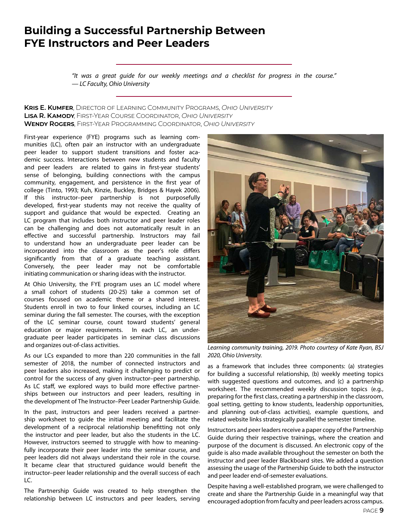# <span id="page-8-0"></span>**Building a Successful Partnership Between FYE Instructors and Peer Leaders**

*"It was a great guide for our weekly meetings and a checklist for progress in the course." — LC Faculty, Ohio University*

#### **Kris E. Kumfer**, Director of Learning Community Programs, *Ohio University* **Lisa R. Kamody**, First-Year Course Coordinator, *Ohio University* **Wendy Rogers**, First-Year Programming Coordinator, *Ohio University*

First-year experience (FYE) programs such as learning communities (LC), often pair an instructor with an undergraduate peer leader to support student transitions and foster academic success. Interactions between new students and faculty and peer leaders are related to gains in first-year students' sense of belonging, building connections with the campus community, engagement, and persistence in the first year of college (Tinto, 1993; Kuh, Kinzie, Buckley, Bridges & Hayek 2006). If this instructor–peer partnership is not purposefully developed, first-year students may not receive the quality of support and guidance that would be expected. Creating an LC program that includes both instructor and peer leader roles can be challenging and does not automatically result in an effective and successful partnership. Instructors may fail to understand how an undergraduate peer leader can be incorporated into the classroom as the peer's role differs significantly from that of a graduate teaching assistant. Conversely, the peer leader may not be comfortable initiating communication or sharing ideas with the instructor.

At Ohio University, the FYE program uses an LC model where a small cohort of students (20-25) take a common set of courses focused on academic theme or a shared interest. Students enroll in two to four linked courses, including an LC seminar during the fall semester. The courses, with the exception of the LC seminar course, count toward students' general education or major requirements. In each LC, an undergraduate peer leader participates in seminar class discussions and organizes out-of-class activities.

As our LCs expanded to more than 220 communities in the fall semester of 2018, the number of connected instructors and peer leaders also increased, making it challenging to predict or control for the success of any given instructor–peer partnership. As LC staff, we explored ways to build more effective partnerships between our instructors and peer leaders, resulting in the development of The Instructor–Peer Leader Partnership Guide.

In the past, instructors and peer leaders received a partnership worksheet to guide the initial meeting and facilitate the development of a reciprocal relationship benefitting not only the instructor and peer leader, but also the students in the LC. However, instructors seemed to struggle with how to meaningfully incorporate their peer leader into the seminar course, and peer leaders did not always understand their role in the course. It became clear that structured guidance would benefit the instructor–peer leader relationship and the overall success of each LC.

The Partnership Guide was created to help strengthen the relationship between LC instructors and peer leaders, serving



*Learning community training, 2019. Photo courtesy of Kate Ryan, BSJ 2020, Ohio University.*

as a framework that includes three components: (a) strategies for building a successful relationship, (b) weekly meeting topics with suggested questions and outcomes, and (c) a partnership worksheet. The recommended weekly discussion topics (e.g., preparing for the first class, creating a partnership in the classroom, goal setting, getting to know students, leadership opportunities, and planning out-of-class activities), example questions, and related website links strategically parallel the semester timeline.

Instructors and peer leaders receive a paper copy of the Partnership Guide during their respective trainings, where the creation and purpose of the document is discussed. An electronic copy of the guide is also made available throughout the semester on both the instructor and peer leader Blackboard sites. We added a question assessing the usage of the Partnership Guide to both the instructor and peer leader end-of-semester evaluations.

Despite having a well-established program, we were challenged to create and share the Partnership Guide in a meaningful way that encouraged adoption from faculty and peer leaders across campus.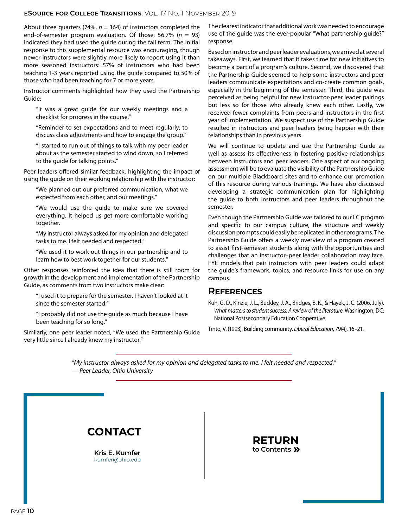#### **eSource for College Transitions**, Vol. 17 No. 1 November 2019

About three quarters (74%,  $n = 164$ ) of instructors completed the end-of-semester program evaluation. Of those, 56.7% (*n* = 93) indicated they had used the guide during the fall term. The initial response to this supplemental resource was encouraging, though newer instructors were slightly more likely to report using it than more seasoned instructors: 57% of instructors who had been teaching 1-3 years reported using the guide compared to 50% of those who had been teaching for 7 or more years.

Instructor comments highlighted how they used the Partnership Guide:

"It was a great guide for our weekly meetings and a checklist for progress in the course."

"Reminder to set expectations and to meet regularly; to discuss class adjustments and how to engage the group."

"I started to run out of things to talk with my peer leader about as the semester started to wind down, so I referred to the guide for talking points."

Peer leaders offered similar feedback, highlighting the impact of using the guide on their working relationship with the instructor:

"We planned out our preferred communication, what we expected from each other, and our meetings."

"We would use the guide to make sure we covered everything. It helped us get more comfortable working together.

"My instructor always asked for my opinion and delegated tasks to me. I felt needed and respected."

"We used it to work out things in our partnership and to learn how to best work together for our students."

Other responses reinforced the idea that there is still room for growth in the development and implementation of the Partnership Guide, as comments from two instructors make clear:

"I used it to prepare for the semester. I haven't looked at it since the semester started."

"I probably did not use the guide as much because I have been teaching for so long."

Similarly, one peer leader noted, "We used the Partnership Guide very little since I already knew my instructor."

The clearest indicator that additional work was needed to encourage use of the guide was the ever-popular "What partnership guide?" response.

Based on instructor and peer leader evaluations, we arrived at several takeaways. First, we learned that it takes time for new initiatives to become a part of a program's culture. Second, we discovered that the Partnership Guide seemed to help some instructors and peer leaders communicate expectations and co-create common goals, especially in the beginning of the semester. Third, the guide was perceived as being helpful for new instructor-peer leader pairings but less so for those who already knew each other. Lastly, we received fewer complaints from peers and instructors in the first year of implementation. We suspect use of the Partnership Guide resulted in instructors and peer leaders being happier with their relationships than in previous years.

We will continue to update and use the Partnership Guide as well as assess its effectiveness in fostering positive relationships between instructors and peer leaders. One aspect of our ongoing assessment will be to evaluate the visibility of the Partnership Guide on our multiple Blackboard sites and to enhance our promotion of this resource during various trainings. We have also discussed developing a strategic communication plan for highlighting the guide to both instructors and peer leaders throughout the semester.

Even though the Partnership Guide was tailored to our LC program and specific to our campus culture, the structure and weekly discussion prompts could easily be replicated in other programs. The Partnership Guide offers a weekly overview of a program created to assist first-semester students along with the opportunities and challenges that an instructor–peer leader collaboration may face. FYE models that pair instructors with peer leaders could adapt the guide's framework, topics, and resource links for use on any campus.

#### **References**

Kuh, G. D., Kinzie, J. L., Buckley, J. A., Bridges, B. K., & Hayek, J. C. (2006, July). *What matters to student success: A review of the literature*. Washington, DC: National Postsecondary Education Cooperative.

Tinto, V. (1993). Building community. *Liberal Education*, 79(4), 16–21.

*"My instructor always asked for my opinion and delegated tasks to me. I felt needed and respected." — Peer Leader, Ohio University*

## **Contact**

**Kris E. Kumfer** [kumfer@ohio.edu](mailto:kumfer%40ohio.edu?subject=E-Source%2017.1%20Article)